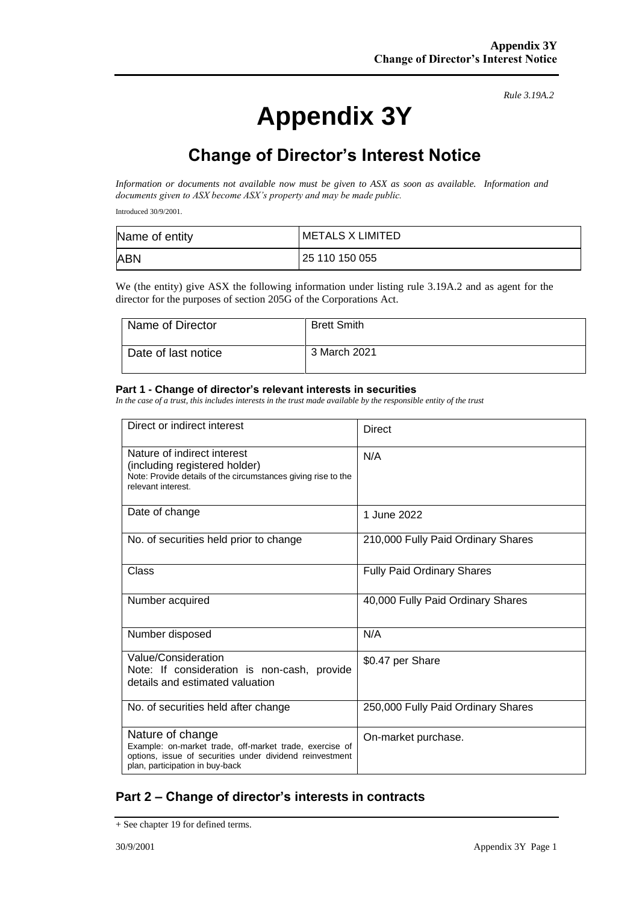# **Appendix 3Y**

*Rule 3.19A.2*

## **Change of Director's Interest Notice**

*Information or documents not available now must be given to ASX as soon as available. Information and documents given to ASX become ASX's property and may be made public.*

Introduced 30/9/2001.

| Name of entity | <b>METALS X LIMITED</b> |
|----------------|-------------------------|
| <b>ABN</b>     | 25 110 150 055          |

We (the entity) give ASX the following information under listing rule 3.19A.2 and as agent for the director for the purposes of section 205G of the Corporations Act.

| Name of Director    | <b>Brett Smith</b> |
|---------------------|--------------------|
| Date of last notice | 3 March 2021       |

#### **Part 1 - Change of director's relevant interests in securities**

*In the case of a trust, this includes interests in the trust made available by the responsible entity of the trust*

| Direct or indirect interest                                                                                                                                                | Direct                             |
|----------------------------------------------------------------------------------------------------------------------------------------------------------------------------|------------------------------------|
| Nature of indirect interest<br>(including registered holder)<br>Note: Provide details of the circumstances giving rise to the<br>relevant interest.                        | N/A                                |
| Date of change                                                                                                                                                             | 1 June 2022                        |
| No. of securities held prior to change                                                                                                                                     | 210,000 Fully Paid Ordinary Shares |
| Class                                                                                                                                                                      | <b>Fully Paid Ordinary Shares</b>  |
| Number acquired                                                                                                                                                            | 40,000 Fully Paid Ordinary Shares  |
| Number disposed                                                                                                                                                            | N/A                                |
| Value/Consideration<br>Note: If consideration is non-cash, provide<br>details and estimated valuation                                                                      | \$0.47 per Share                   |
| No. of securities held after change                                                                                                                                        | 250,000 Fully Paid Ordinary Shares |
| Nature of change<br>Example: on-market trade, off-market trade, exercise of<br>options, issue of securities under dividend reinvestment<br>plan, participation in buy-back | On-market purchase.                |

#### **Part 2 – Change of director's interests in contracts**

<sup>+</sup> See chapter 19 for defined terms.